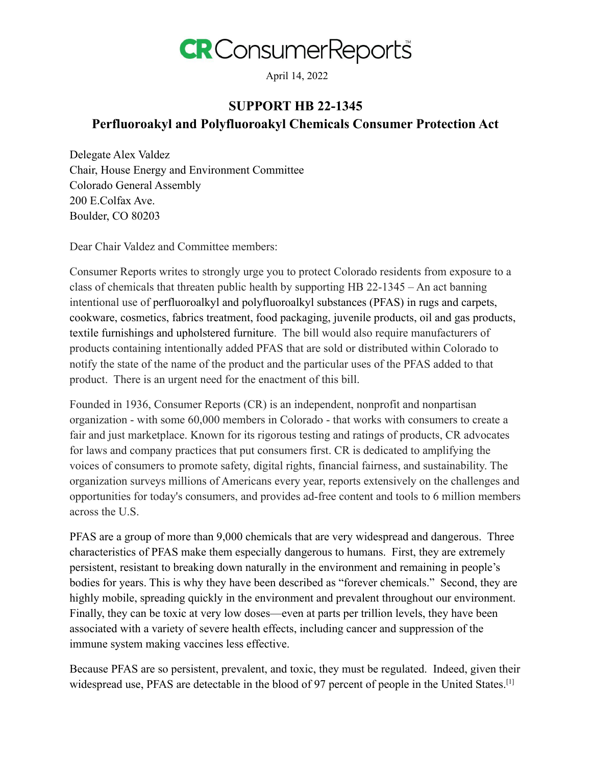

April 14, 2022

## **SUPPORT HB 22-1345 Perfluoroakyl and Polyfluoroakyl Chemicals Consumer Protection Act**

Delegate Alex Valdez Chair, House Energy and Environment Committee Colorado General Assembly 200 E.Colfax Ave. Boulder, CO 80203

Dear Chair Valdez and Committee members:

Consumer Reports writes to strongly urge you to protect Colorado residents from exposure to a class of chemicals that threaten public health by supporting HB 22-1345 – An act banning intentional use of perfluoroalkyl and polyfluoroalkyl substances (PFAS) in rugs and carpets, cookware, cosmetics, fabrics treatment, food packaging, juvenile products, oil and gas products, textile furnishings and upholstered furniture. The bill would also require manufacturers of products containing intentionally added PFAS that are sold or distributed within Colorado to notify the state of the name of the product and the particular uses of the PFAS added to that product. There is an urgent need for the enactment of this bill.

Founded in 1936, Consumer Reports (CR) is an independent, nonprofit and nonpartisan organization - with some 60,000 members in Colorado - that works with consumers to create a fair and just marketplace. Known for its rigorous testing and ratings of products, CR advocates for laws and company practices that put consumers first. CR is dedicated to amplifying the voices of consumers to promote safety, digital rights, financial fairness, and sustainability. The organization surveys millions of Americans every year, reports extensively on the challenges and opportunities for today's consumers, and provides ad-free content and tools to 6 million members across the U.S.

PFAS are a group of more than 9,000 chemicals that are very widespread and dangerous. Three characteristics of PFAS make them especially dangerous to humans. First, they are extremely persistent, resistant to breaking down naturally in the environment and remaining in people's bodies for years. This is why they have been described as "forever chemicals." Second, they are highly mobile, spreading quickly in the environment and prevalent throughout our environment. Finally, they can be toxic at very low doses—even at parts per trillion levels, they have been associated with a variety of severe health effects, including cancer and suppression of the immune system making vaccines less effective.

Because PFAS are so persistent, prevalent, and toxic, they must be regulated. Indeed, given their widespread use, PFAS are detectable in the blood of 97 percent of people in the United States.<sup>[1]</sup>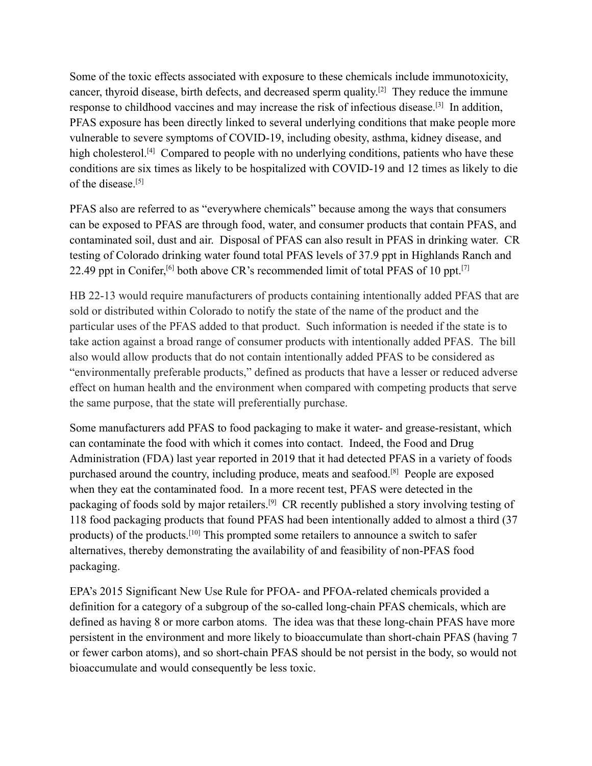Some of the toxic effects associated with exposure to these chemicals include immunotoxicity, cancer, thyroid disease, birth defects, and decreased sperm quality.<sup>[2]</sup> They reduce the immune response to childhood vaccines and may increase the risk of infectious disease.<sup>[3]</sup> In addition, PFAS exposure has been directly linked to several underlying conditions that make people more vulnerable to severe symptoms of COVID-19, including obesity, asthma, kidney disease, and high cholesterol.<sup>[4]</sup> Compared to people with no underlying conditions, patients who have these conditions are six times as likely to be hospitalized with COVID-19 and 12 times as likely to die of the disease<sup>[5]</sup>

PFAS also are referred to as "everywhere chemicals" because among the ways that consumers can be exposed to PFAS are through food, water, and consumer products that contain PFAS, and contaminated soil, dust and air. Disposal of PFAS can also result in PFAS in drinking water. CR testing of Colorado drinking water found total PFAS levels of 37.9 ppt in Highlands Ranch and 22.49 ppt in Conifer,  $\left[6\right]$  both above CR's recommended limit of total PFAS of 10 ppt.  $\left[7\right]$ 

HB 22-13 would require manufacturers of products containing intentionally added PFAS that are sold or distributed within Colorado to notify the state of the name of the product and the particular uses of the PFAS added to that product. Such information is needed if the state is to take action against a broad range of consumer products with intentionally added PFAS. The bill also would allow products that do not contain intentionally added PFAS to be considered as "environmentally preferable products," defined as products that have a lesser or reduced adverse effect on human health and the environment when compared with competing products that serve the same purpose, that the state will preferentially purchase.

Some manufacturers add PFAS to food packaging to make it water- and grease-resistant, which can contaminate the food with which it comes into contact. Indeed, the Food and Drug Administration (FDA) last year reported in 2019 that it had detected PFAS in a variety of foods purchased around the country, including produce, meats and seafood.<sup>[8]</sup> People are exposed when they eat the contaminated food. In a more recent test, PFAS were detected in the packaging of foods sold by major retailers.<sup>[9]</sup> CR recently published a story involving testing of 118 food packaging products that found PFAS had been intentionally added to almost a third (37 products) of the products.[10] This prompted some retailers to announce a switch to safer alternatives, thereby demonstrating the availability of and feasibility of non-PFAS food packaging.

EPA's 2015 Significant New Use Rule for PFOA- and PFOA-related chemicals provided a definition for a category of a subgroup of the so-called long-chain PFAS chemicals, which are defined as having 8 or more carbon atoms. The idea was that these long-chain PFAS have more persistent in the environment and more likely to bioaccumulate than short-chain PFAS (having 7 or fewer carbon atoms), and so short-chain PFAS should be not persist in the body, so would not bioaccumulate and would consequently be less toxic.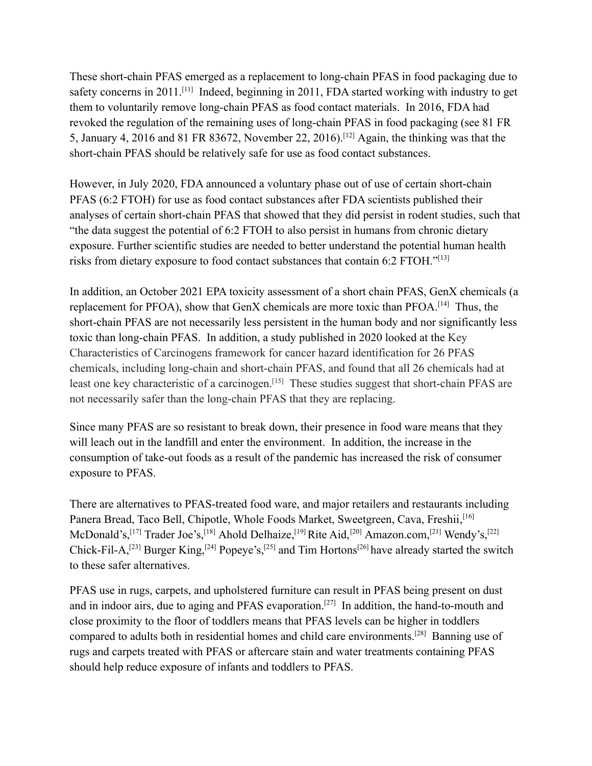These short-chain PFAS emerged as a replacement to long-chain PFAS in food packaging due to safety concerns in 2011.<sup>[11]</sup> Indeed, beginning in 2011, FDA started working with industry to get them to voluntarily remove long-chain PFAS as food contact materials. In 2016, FDA had revoked the regulation of the remaining uses of long-chain PFAS in food packaging (see 81 FR 5, January 4, 2016 and 81 FR 83672, November 22, 2016).[12] Again, the thinking was that the short-chain PFAS should be relatively safe for use as food contact substances.

However, in July 2020, FDA announced a voluntary phase out of use of certain short-chain PFAS (6:2 FTOH) for use as food contact substances after FDA scientists published their analyses of certain short-chain PFAS that showed that they did persist in rodent studies, such that "the data suggest the potential of 6:2 FTOH to also persist in humans from chronic dietary exposure. Further scientific studies are needed to better understand the potential human health risks from dietary exposure to food contact substances that contain 6:2 FTOH." [13]

In addition, an October 2021 EPA toxicity assessment of a short chain PFAS, GenX chemicals (a replacement for PFOA), show that GenX chemicals are more toxic than PFOA.[14] Thus, the short-chain PFAS are not necessarily less persistent in the human body and nor significantly less toxic than long-chain PFAS. In addition, a study published in 2020 looked at the Key Characteristics of Carcinogens framework for cancer hazard identification for 26 PFAS chemicals, including long-chain and short-chain PFAS, and found that all 26 chemicals had at least one key characteristic of a carcinogen.<sup>[15]</sup> These studies suggest that short-chain PFAS are not necessarily safer than the long-chain PFAS that they are replacing.

Since many PFAS are so resistant to break down, their presence in food ware means that they will leach out in the landfill and enter the environment. In addition, the increase in the consumption of take-out foods as a result of the pandemic has increased the risk of consumer exposure to PFAS.

There are alternatives to PFAS-treated food ware, and major retailers and restaurants including Panera Bread, Taco Bell, Chipotle, Whole Foods Market, Sweetgreen, Cava, Freshii, <a>[16]</a> McDonald's,<sup>[17]</sup> Trader Joe's,<sup>[18]</sup> Ahold Delhaize,<sup>[19]</sup> Rite Aid,<sup>[20]</sup> Amazon.com,<sup>[21]</sup> Wendy's,<sup>[22]</sup> Chick-Fil-A,<sup>[23]</sup> Burger King,<sup>[24]</sup> Popeye's,<sup>[25]</sup> and Tim Hortons<sup>[26]</sup> have already started the switch to these safer alternatives.

PFAS use in rugs, carpets, and upholstered furniture can result in PFAS being present on dust and in indoor airs, due to aging and PFAS evaporation.<sup>[27]</sup> In addition, the hand-to-mouth and close proximity to the floor of toddlers means that PFAS levels can be higher in toddlers compared to adults both in residential homes and child care environments.[28] Banning use of rugs and carpets treated with PFAS or aftercare stain and water treatments containing PFAS should help reduce exposure of infants and toddlers to PFAS.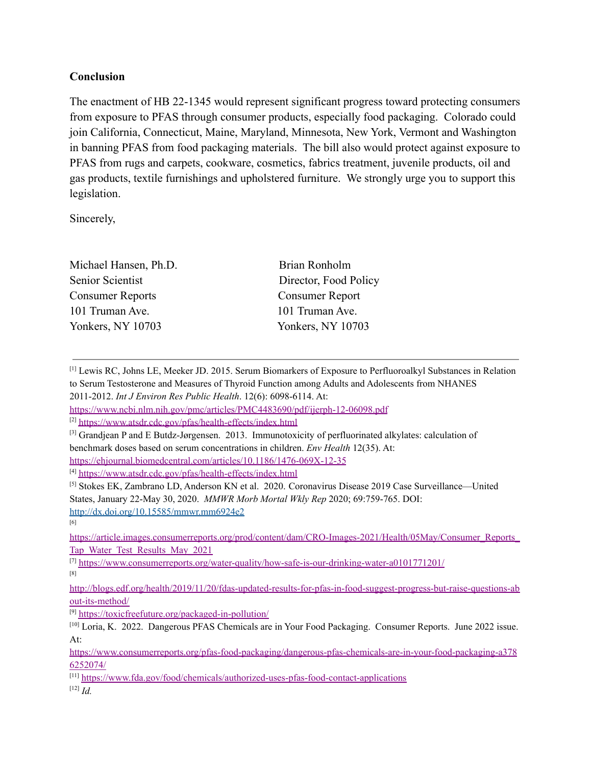## **Conclusion**

The enactment of HB 22-1345 would represent significant progress toward protecting consumers from exposure to PFAS through consumer products, especially food packaging. Colorado could join California, Connecticut, Maine, Maryland, Minnesota, New York, Vermont and Washington in banning PFAS from food packaging materials. The bill also would protect against exposure to PFAS from rugs and carpets, cookware, cosmetics, fabrics treatment, juvenile products, oil and gas products, textile furnishings and upholstered furniture. We strongly urge you to support this legislation.

Sincerely,

| Brian Ronholm            |
|--------------------------|
| Director, Food Policy    |
| <b>Consumer Report</b>   |
| 101 Truman Ave.          |
| <b>Yonkers, NY 10703</b> |
|                          |

[1] Lewis RC, Johns LE, Meeker JD. 2015. Serum Biomarkers of Exposure to Perfluoroalkyl Substances in Relation to Serum Testosterone and Measures of Thyroid Function among Adults and Adolescents from NHANES 2011-2012. *Int J Environ Res Public Health*. 12(6): 6098-6114. At:

[6]

[https://article.images.consumerreports.org/prod/content/dam/CRO-Images-2021/Health/05May/Consumer\\_Reports\\_](https://article.images.consumerreports.org/prod/content/dam/CRO-Images-2021/Health/05May/Consumer_Reports_Tap_Water_Test_Results_May_2021) [Tap\\_Water\\_Test\\_Results\\_May\\_2021](https://article.images.consumerreports.org/prod/content/dam/CRO-Images-2021/Health/05May/Consumer_Reports_Tap_Water_Test_Results_May_2021)

[7] <https://www.consumerreports.org/water-quality/how-safe-is-our-drinking-water-a0101771201/> [8]

[9] <https://toxicfreefuture.org/packaged-in-pollution/>

<https://www.ncbi.nlm.nih.gov/pmc/articles/PMC4483690/pdf/ijerph-12-06098.pdf>

<sup>[2]</sup> <https://www.atsdr.cdc.gov/pfas/health-effects/index.html>

<sup>[3]</sup> Grandjean P and E Butdz-Jørgensen. 2013. Immunotoxicity of perfluorinated alkylates: calculation of benchmark doses based on serum concentrations in children. *Env Health* 12(35). At: <https://ehjournal.biomedcentral.com/articles/10.1186/1476-069X-12-35>

<sup>[4]</sup> <https://www.atsdr.cdc.gov/pfas/health-effects/index.html>

<sup>[5]</sup> Stokes EK, Zambrano LD, Anderson KN et al. 2020. Coronavirus Disease 2019 Case Surveillance—United States, January 22-May 30, 2020. *MMWR Morb Mortal Wkly Rep* 2020; 69:759-765. DOI:

http://dx.doi.org/10.15585/mmwr.mm6924e2

[http://blogs.edf.org/health/2019/11/20/fdas-updated-results-for-pfas-in-food-suggest-progress-but-raise-questions-ab](http://blogs.edf.org/health/2019/11/20/fdas-updated-results-for-pfas-in-food-suggest-progress-but-raise-questions-about-its-method/) [out-its-method/](http://blogs.edf.org/health/2019/11/20/fdas-updated-results-for-pfas-in-food-suggest-progress-but-raise-questions-about-its-method/)

<sup>[10]</sup> Loria, K. 2022. Dangerous PFAS Chemicals are in Your Food Packaging. Consumer Reports. June 2022 issue. At:

[https://www.consumerreports.org/pfas-food-packaging/dangerous-pfas-chemicals-are-in-your-food-packaging-a378](https://www.consumerreports.org/pfas-food-packaging/dangerous-pfas-chemicals-are-in-your-food-packaging-a3786252074/) [6252074/](https://www.consumerreports.org/pfas-food-packaging/dangerous-pfas-chemicals-are-in-your-food-packaging-a3786252074/)

<sup>[11]</sup> <https://www.fda.gov/food/chemicals/authorized-uses-pfas-food-contact-applications> [12] *Id.*